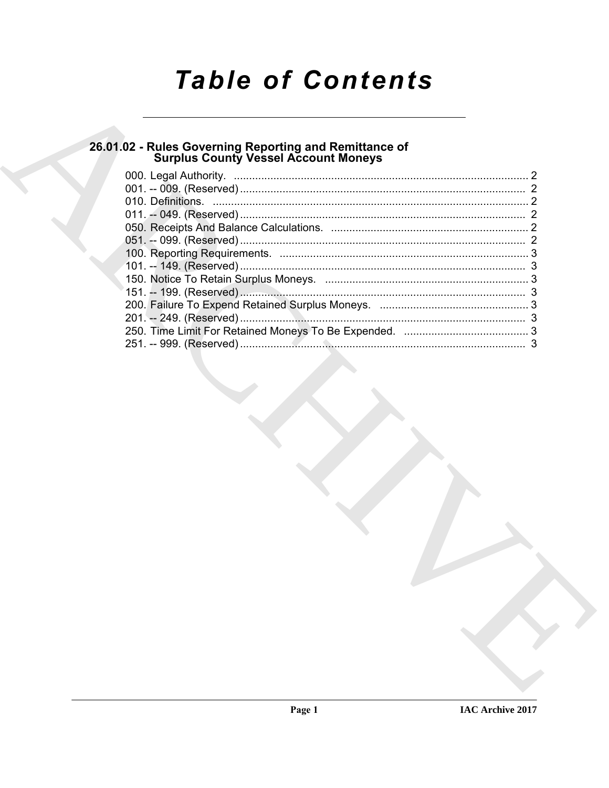# **Table of Contents**

# 26.01.02 - Rules Governing Reporting and Remittance of<br>Surplus County Vessel Account Moneys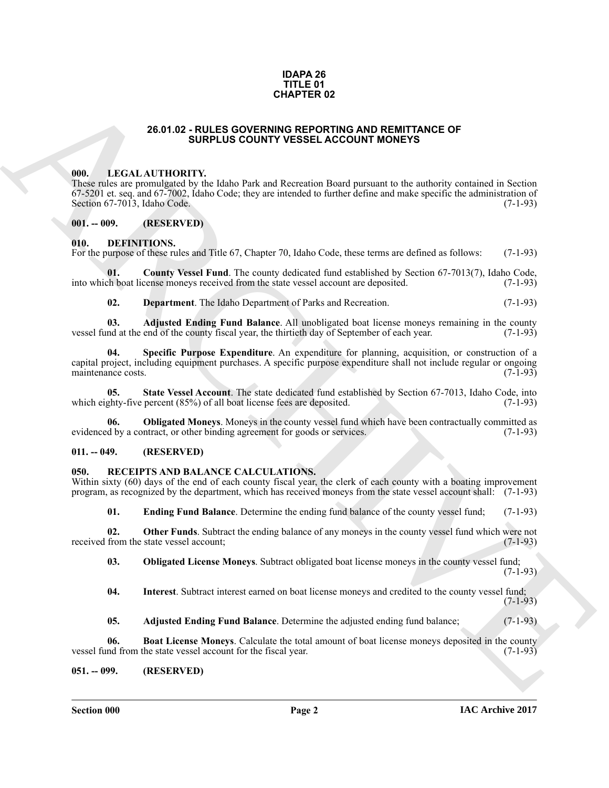#### **IDAPA 26 TITLE 01 CHAPTER 02**

#### **26.01.02 - RULES GOVERNING REPORTING AND REMITTANCE OF SURPLUS COUNTY VESSEL ACCOUNT MONEYS**

#### <span id="page-1-1"></span><span id="page-1-0"></span>**000. LEGAL AUTHORITY.**

**28.51.62 - RULES OCYENNER 0.2**<br> **28.51.62 - RULES OCYENNER ARCHIVER AND REMITTANCE OF**<br> **28.51.62 - RULES COUNTY RESER ACCOUNT MONEYS<br>
28.62 - RULES COUNTY RESERVATION (THE MAIN PONEYS CONTINUES)**<br> **28.62 - RULES COUNTY** These rules are promulgated by the Idaho Park and Recreation Board pursuant to the authority contained in Section 67-5201 et. seq. and 67-7002, Idaho Code; they are intended to further define and make specific the administration of Section 67-7013, Idaho Code.  $(7-1-93)$ Section  $67-7013$ , Idaho Code.

#### <span id="page-1-2"></span>**001. -- 009. (RESERVED)**

#### <span id="page-1-7"></span><span id="page-1-3"></span>**010. DEFINITIONS.**

For the purpose of these rules and Title 67, Chapter 70, Idaho Code, these terms are defined as follows: (7-1-93)

**County Vessel Fund**. The county dedicated fund established by Section 67-7013(7), Idaho Code, cense moneys received from the state vessel account are deposited. (7-1-93) into which boat license moneys received from the state vessel account are deposited.

<span id="page-1-12"></span><span id="page-1-10"></span><span id="page-1-9"></span><span id="page-1-8"></span>**02. Department**. The Idaho Department of Parks and Recreation. (7-1-93)

**03.** Adjusted Ending Fund Balance. All unobligated boat license moneys remaining in the county md at the end of the county fiscal year, the thirtieth day of September of each year. (7-1-93) vessel fund at the end of the county fiscal year, the thirtieth day of September of each year.

**Specific Purpose Expenditure**. An expenditure for planning, acquisition, or construction of a capital project, including equipment purchases. A specific purpose expenditure shall not include regular or ongoing maintenance costs.

<span id="page-1-13"></span>**05.** State Vessel Account. The state dedicated fund established by Section 67-7013, Idaho Code, into the phty-five percent (85%) of all boat license fees are deposited. (7-1-93) which eighty-five percent  $(85%)$  of all boat license fees are deposited.

<span id="page-1-11"></span>**06. Obligated Moneys**. Moneys in the county vessel fund which have been contractually committed as evidenced by a contract, or other binding agreement for goods or services. (7-1-93)

### <span id="page-1-4"></span>**011. -- 049. (RESERVED)**

### <span id="page-1-14"></span><span id="page-1-5"></span>**050. RECEIPTS AND BALANCE CALCULATIONS.**

Within sixty (60) days of the end of each county fiscal year, the clerk of each county with a boating improvement program, as recognized by the department, which has received moneys from the state vessel account shall: (7-1-93)

<span id="page-1-20"></span><span id="page-1-17"></span>**01. Ending Fund Balance**. Determine the ending fund balance of the county vessel fund; (7-1-93)

**02. Other Funds**. Subtract the ending balance of any moneys in the county vessel fund which were not from the state vessel account; (7-1-93) received from the state vessel account;

<span id="page-1-19"></span>**03. Obligated License Moneys**. Subtract obligated boat license moneys in the county vessel fund;

 $(7-1-93)$ 

<span id="page-1-18"></span>**04. Interest**. Subtract interest earned on boat license moneys and credited to the county vessel fund;  $(7-1-93)$ 

<span id="page-1-16"></span><span id="page-1-15"></span>**05. Adjusted Ending Fund Balance**. Determine the adjusted ending fund balance; (7-1-93)

**06. Boat License Moneys**. Calculate the total amount of boat license moneys deposited in the county nd from the state vessel account for the fiscal year. (7-1-93) vessel fund from the state vessel account for the fiscal year.

<span id="page-1-6"></span>**051. -- 099. (RESERVED)**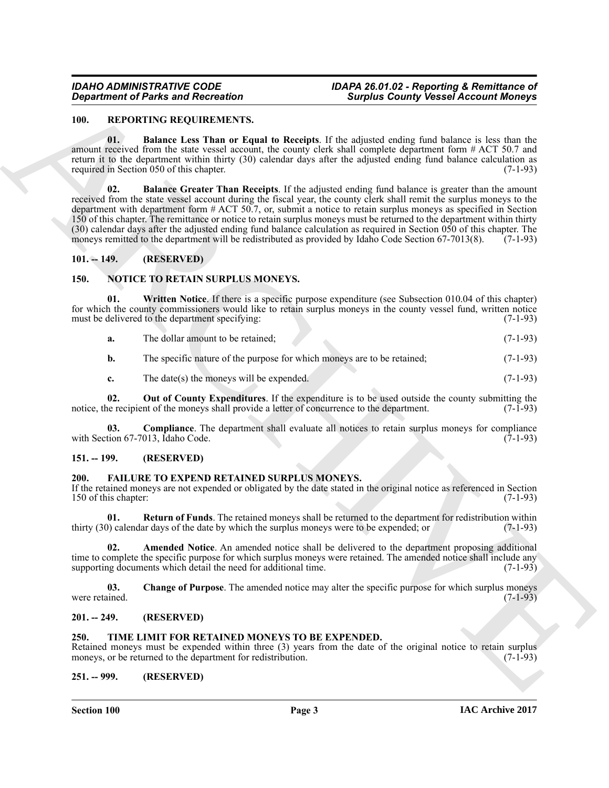#### *IDAHO ADMINISTRATIVE CODE IDAPA 26.01.02 - Reporting & Remittance of Department of Parks and Recreation Surplus County Vessel Account Moneys*

#### <span id="page-2-18"></span><span id="page-2-16"></span><span id="page-2-0"></span>**100. REPORTING REQUIREMENTS.**

<span id="page-2-17"></span>**01. Balance Less Than or Equal to Receipts**. If the adjusted ending fund balance is less than the amount received from the state vessel account, the county clerk shall complete department form # ACT 50.7 and return it to the department within thirty (30) calendar days after the adjusted ending fund balance calculation as required in Section 050 of this chapter. (7-1-93)

**Consideration of Paints and Reionation**<br>
10. **REPOINT DESCRIPTION INTO A CONSIDER CONTRACT CONSIDERATION**<br>
10. **ARCHIVED IN CONSIDERATION**<br>
10. **ARCHIVED INTO A CONSIDERATION**<br>
10. **ARCHIVED INTO A CONSIDERATION**<br>
10. **A 02. Balance Greater Than Receipts**. If the adjusted ending fund balance is greater than the amount received from the state vessel account during the fiscal year, the county clerk shall remit the surplus moneys to the department with department form # ACT 50.7, or, submit a notice to retain surplus moneys as specified in Section 150 of this chapter. The remittance or notice to retain surplus moneys must be returned to the department within thirty (30) calendar days after the adjusted ending fund balance calculation as required in Section 050 of this chapter. The moneys remitted to the department will be redistributed as provided by Idaho Code Section 67-7013(8). moneys remitted to the department will be redistributed as provided by Idaho Code Section 67-7013(8).

### <span id="page-2-1"></span>**101. -- 149. (RESERVED)**

### <span id="page-2-12"></span><span id="page-2-2"></span>**150. NOTICE TO RETAIN SURPLUS MONEYS.**

**01. Written Notice**. If there is a specific purpose expenditure (see Subsection 010.04 of this chapter) for which the county commissioners would like to retain surplus moneys in the county vessel fund, written notice must be delivered to the department specifying: (7-1-93)

<span id="page-2-15"></span>**a.** The dollar amount to be retained; (7-1-93)

**b.** The specific nature of the purpose for which moneys are to be retained; (7-1-93)

<span id="page-2-14"></span><span id="page-2-13"></span>**c.** The date(s) the moneys will be expended. (7-1-93)

**02.** Out of County Expenditures. If the expenditure is to be used outside the county submitting the ne recipient of the moneys shall provide a letter of concurrence to the department. (7-1-93) notice, the recipient of the moneys shall provide a letter of concurrence to the department.

**03. Compliance**. The department shall evaluate all notices to retain surplus moneys for compliance tion 67-7013, Idaho Code. (7-1-93) with Section  $67-7013$ , Idaho Code.

#### <span id="page-2-3"></span>**151. -- 199. (RESERVED)**

### <span id="page-2-8"></span><span id="page-2-4"></span>**200. FAILURE TO EXPEND RETAINED SURPLUS MONEYS.**

If the retained moneys are not expended or obligated by the date stated in the original notice as referenced in Section 150 of this chapter: (7-1-93) (3.150 of this chapter: (3.150 of this chapter:  $(7.1-93)$ )

<span id="page-2-11"></span>**01. Return of Funds**. The retained moneys shall be returned to the department for redistribution within ()) calendar days of the date by which the surplus moneys were to be expended; or (7-1-93) thirty  $(30)$  calendar days of the date by which the surplus moneys were to be expended; or

<span id="page-2-9"></span>**02. Amended Notice**. An amended notice shall be delivered to the department proposing additional time to complete the specific purpose for which surplus moneys were retained. The amended notice shall include any<br>supporting documents which detail the need for additional time. (7-1-93) supporting documents which detail the need for additional time.

<span id="page-2-10"></span>**03. Change of Purpose**. The amended notice may alter the specific purpose for which surplus moneys were retained. (7-1-93)

#### <span id="page-2-5"></span>**201. -- 249. (RESERVED)**

#### <span id="page-2-19"></span><span id="page-2-6"></span>**250. TIME LIMIT FOR RETAINED MONEYS TO BE EXPENDED.**

Retained moneys must be expended within three  $(3)$  years from the date of the original notice to retain surplus moneys, or be returned to the department for redistribution.  $(7-1-93)$ moneys, or be returned to the department for redistribution.

#### <span id="page-2-7"></span>**251. -- 999. (RESERVED)**